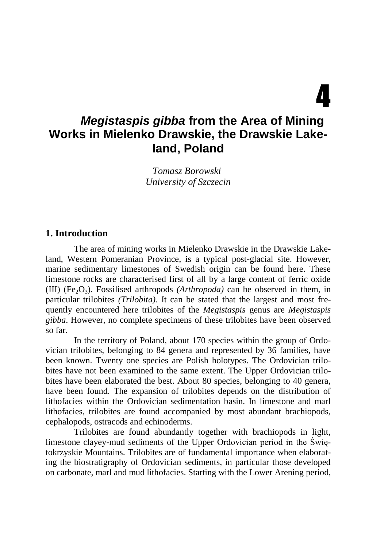# 4

# *Megistaspis gibba* **from the Area of Mining Works in Mielenko Drawskie, the Drawskie Lakeland, Poland**

*Tomasz Borowski University of Szczecin*

#### **1. Introduction**

The area of mining works in Mielenko Drawskie in the Drawskie Lakeland, Western Pomeranian Province, is a typical post-glacial site. However, marine sedimentary limestones of Swedish origin can be found here. These limestone rocks are characterised first of all by a large content of ferric oxide (III) (Fe<sub>2</sub>O<sub>3</sub>). Fossilised arthropods *(Arthropoda)* can be observed in them, in particular trilobites *(Trilobita)*. It can be stated that the largest and most frequently encountered here trilobites of the *Megistaspis* genus are *Megistaspis gibba*. However, no complete specimens of these trilobites have been observed so far.

In the territory of Poland, about 170 species within the group of Ordovician trilobites, belonging to 84 genera and represented by 36 families, have been known. Twenty one species are Polish holotypes. The Ordovician trilobites have not been examined to the same extent. The Upper Ordovician trilobites have been elaborated the best. About 80 species, belonging to 40 genera, have been found. The expansion of trilobites depends on the distribution of lithofacies within the Ordovician sedimentation basin. In limestone and marl lithofacies, trilobites are found accompanied by most abundant brachiopods, cephalopods, ostracods and echinoderms.

Trilobites are found abundantly together with brachiopods in light, limestone clayey-mud sediments of the Upper Ordovician period in the Świętokrzyskie Mountains. Trilobites are of fundamental importance when elaborating the biostratigraphy of Ordovician sediments, in particular those developed on carbonate, marl and mud lithofacies. Starting with the Lower Arening period,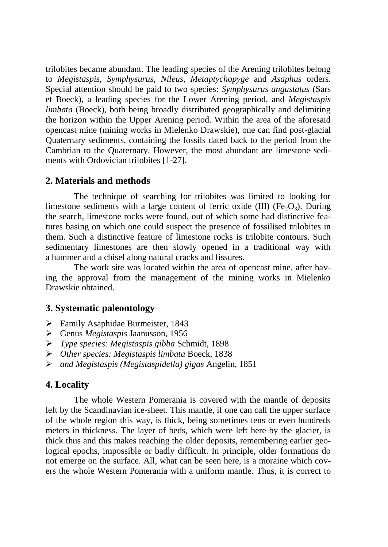trilobites became abundant. The leading species of the Arening trilobites belong to *Megistaspis, Symphysurus, Nileus, Metaptychopyge* and *Asaphus* orders*.* Special attention should be paid to two species: *Symphysurus angustatus* (Sars et Boeck), a leading species for the Lower Arening period, and *Megistaspis limbata* (Boeck), both being broadly distributed geographically and delimiting the horizon within the Upper Arening period. Within the area of the aforesaid opencast mine (mining works in Mielenko Drawskie), one can find post-glacial Quaternary sediments, containing the fossils dated back to the period from the Cambrian to the Quaternary. However, the most abundant are limestone sediments with Ordovician trilobites [1-27].

#### **2. Materials and methods**

The technique of searching for trilobites was limited to looking for limestone sediments with a large content of ferric oxide (III) ( $Fe<sub>2</sub>O<sub>3</sub>$ ). During the search, limestone rocks were found, out of which some had distinctive features basing on which one could suspect the presence of fossilised trilobites in them. Such a distinctive feature of limestone rocks is trilobite contours. Such sedimentary limestones are then slowly opened in a traditional way with a hammer and a chisel along natural cracks and fissures.

The work site was located within the area of opencast mine, after having the approval from the management of the mining works in Mielenko Drawskie obtained.

## **3. Systematic paleontology**

- $\triangleright$  Family Asaphidae Burmeister, 1843
- Genus *Megistaspis* Jaanusson, 1956
- *Type species: Megistaspis gibba* Schmidt, 1898
- *Other species: Megistaspis limbata* Boeck, 1838
- *and Megistaspis (Megistaspidella) gigas* Angelin, 1851

## **4. Locality**

The whole Western Pomerania is covered with the mantle of deposits left by the Scandinavian ice-sheet. This mantle, if one can call the upper surface of the whole region this way, is thick, being sometimes tens or even hundreds meters in thickness. The layer of beds, which were left here by the glacier, is thick thus and this makes reaching the older deposits, remembering earlier geological epochs, impossible or badly difficult. In principle, older formations do not emerge on the surface. All, what can be seen here, is a moraine which covers the whole Western Pomerania with a uniform mantle. Thus, it is correct to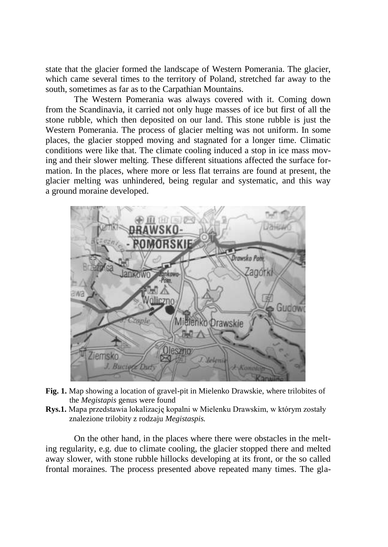state that the glacier formed the landscape of Western Pomerania. The glacier, which came several times to the territory of Poland, stretched far away to the south, sometimes as far as to the Carpathian Mountains.

The Western Pomerania was always covered with it. Coming down from the Scandinavia, it carried not only huge masses of ice but first of all the stone rubble, which then deposited on our land. This stone rubble is just the Western Pomerania. The process of glacier melting was not uniform. In some places, the glacier stopped moving and stagnated for a longer time. Climatic conditions were like that. The climate cooling induced a stop in ice mass moving and their slower melting. These different situations affected the surface formation. In the places, where more or less flat terrains are found at present, the glacier melting was unhindered, being regular and systematic, and this way a ground moraine developed.



- **Fig. 1.** Map showing a location of gravel-pit in Mielenko Drawskie, where trilobites of the *Megistapis* genus were found
- **Rys.1.** Mapa przedstawia lokalizację kopalni w Mielenku Drawskim, w którym zostały znalezione trilobity z rodzaju *Megistaspis.*

On the other hand, in the places where there were obstacles in the melting regularity, e.g. due to climate cooling, the glacier stopped there and melted away slower, with stone rubble hillocks developing at its front, or the so called frontal moraines. The process presented above repeated many times. The gla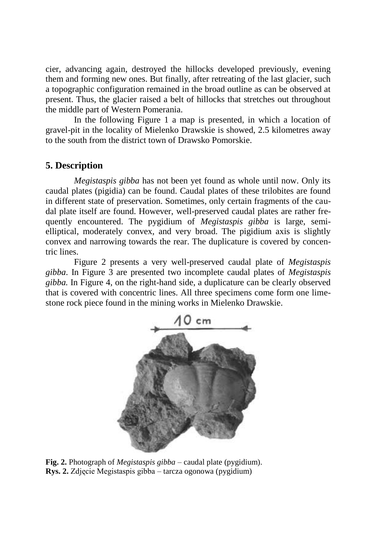cier, advancing again, destroyed the hillocks developed previously, evening them and forming new ones. But finally, after retreating of the last glacier, such a topographic configuration remained in the broad outline as can be observed at present. Thus, the glacier raised a belt of hillocks that stretches out throughout the middle part of Western Pomerania.

In the following Figure 1 a map is presented, in which a location of gravel-pit in the locality of Mielenko Drawskie is showed, 2.5 kilometres away to the south from the district town of Drawsko Pomorskie.

# **5. Description**

*Megistaspis gibba* has not been yet found as whole until now. Only its caudal plates (pigidia) can be found. Caudal plates of these trilobites are found in different state of preservation. Sometimes, only certain fragments of the caudal plate itself are found. However, well-preserved caudal plates are rather frequently encountered. The pygidium of *Megistaspis gibba* is large, semielliptical, moderately convex, and very broad. The pigidium axis is slightly convex and narrowing towards the rear. The duplicature is covered by concentric lines.

Figure 2 presents a very well-preserved caudal plate of *Megistaspis gibba*. In Figure 3 are presented two incomplete caudal plates of *Megistaspis gibba.* In Figure 4, on the right-hand side, a duplicature can be clearly observed that is covered with concentric lines. All three specimens come form one limestone rock piece found in the mining works in Mielenko Drawskie.



**Fig. 2.** Photograph of *Megistaspis gibba* – caudal plate (pygidium). **Rys. 2.** Zdjęcie Megistaspis gibba – tarcza ogonowa (pygidium)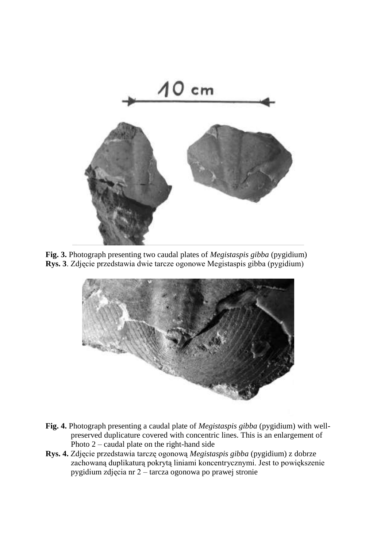

**Fig. 3.** Photograph presenting two caudal plates of *Megistaspis gibba* (pygidium) **Rys. 3**. Zdjęcie przedstawia dwie tarcze ogonowe Megistaspis gibba (pygidium)



- **Fig. 4.** Photograph presenting a caudal plate of *Megistaspis gibba* (pygidium) with wellpreserved duplicature covered with concentric lines. This is an enlargement of Photo  $2$  – caudal plate on the right-hand side
- **Rys. 4.** Zdjęcie przedstawia tarczę ogonową *Megistaspis gibba* (pygidium) z dobrze zachowaną duplikaturą pokrytą liniami koncentrycznymi. Jest to powiększenie pygidium zdjęcia nr 2 – tarcza ogonowa po prawej stronie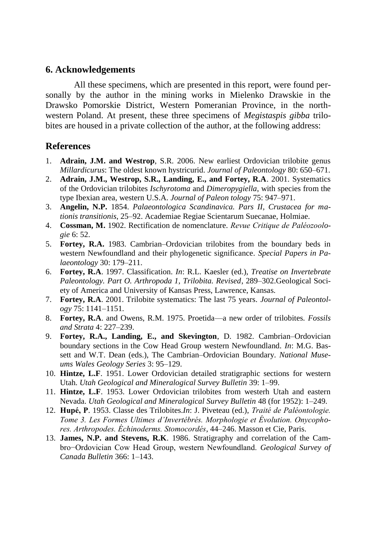#### **6. Acknowledgements**

All these specimens, which are presented in this report, were found personally by the author in the mining works in Mielenko Drawskie in the Drawsko Pomorskie District, Western Pomeranian Province, in the northwestern Poland. At present, these three specimens of *Megistaspis gibba* trilobites are housed in a private collection of the author, at the following address:

## **References**

- 1. **Adrain, J.M. and Westrop**, S.R. 2006. New earliest Ordovician trilobite genus *Millardicurus*: The oldest known hystricurid. *Journal of Paleontology* 80: 650–671.
- 2. **Adrain, J.M., Westrop, S.R., Landing, E., and Fortey, R.A**. 2001. Systematics of the Ordovician trilobites *Ischyrotoma* and *Dimeropygiella*, with species from the type Ibexian area, western U.S.A. *Journal of Paleon tology* 75: 947–971.
- 3. **Angelin, N.P.** 1854. *Palaeontologica Scandinavica. Pars II, Crustacea for mationis transitionis*, 25–92. Academiae Regiae Scientarum Suecanae, Holmiae.
- 4. **Cossman, M.** 1902. Rectification de nomenclature. *Revue Critique de Paléozoologie* 6: 52.
- 5. **Fortey, R.A.** 1983. Cambrian–Ordovician trilobites from the boundary beds in western Newfoundland and their phylogenetic significance. *Special Papers in Palaeontology* 30: 179–211.
- 6. **Fortey, R.A**. 1997. Classification. *In*: R.L. Kaesler (ed.), *Treatise on Invertebrate Paleontology. Part O. Arthropoda 1, Trilobita. Revised*, 289–302.Geological Society of America and University of Kansas Press, Lawrence, Kansas.
- 7. **Fortey, R.A**. 2001. Trilobite systematics: The last 75 years. *Journal of Paleontology* 75: 1141–1151.
- 8. **Fortey, R.A**. and Owens, R.M. 1975. Proetida—a new order of trilobites. *Fossils and Strata* 4: 227–239.
- 9. **Fortey, R.A., Landing, E., and Skevington**, D. 1982. Cambrian–Ordovician boundary sections in the Cow Head Group western Newfoundland. *In*: M.G. Bassett and W.T. Dean (eds.), The Cambrian–Ordovician Boundary. *National Museums Wales Geology Series* 3: 95–129.
- 10. **Hintze, L.F**. 1951. Lower Ordovician detailed stratigraphic sections for western Utah. *Utah Geological and Mineralogical Survey Bulletin* 39: 1–99.
- 11. **Hintze, L.F**. 1953. Lower Ordovician trilobites from westerh Utah and eastern Nevada. *Utah Geological and Mineralogical Survey Bulletin* 48 (for 1952): 1–249.
- 12. **Hupé, P**. 1953. Classe des Trilobites.*In*: J. Piveteau (ed.), *Traité de Paléontologie. Tome 3. Les Formes Ultimes d'Invertébrés. Morphologie et Évolution. Onycophores. Arthropodes. Échinoderms. Stomocordés*, 44–246. Masson et Cie, Paris.
- 13. **James, N.P. and Stevens, R.K**. 1986. Stratigraphy and correlation of the Cambro−Ordovician Cow Head Group, western Newfoundland. *Geological Survey of Canada Bulletin* 366: 1–143.